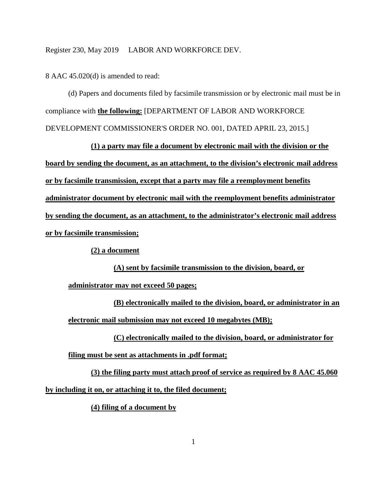8 AAC 45.020(d) is amended to read:

(d) Papers and documents filed by facsimile transmission or by electronic mail must be in compliance with **the following:** [DEPARTMENT OF LABOR AND WORKFORCE DEVELOPMENT COMMISSIONER'S ORDER NO. 001, DATED APRIL 23, 2015.]

**(1) a party may file a document by electronic mail with the division or the board by sending the document, as an attachment, to the division's electronic mail address or by facsimile transmission, except that a party may file a reemployment benefits administrator document by electronic mail with the reemployment benefits administrator by sending the document, as an attachment, to the administrator's electronic mail address or by facsimile transmission;**

**(2) a document**

**(A) sent by facsimile transmission to the division, board, or** 

**administrator may not exceed 50 pages;**

**(B) electronically mailed to the division, board, or administrator in an electronic mail submission may not exceed 10 megabytes (MB);**

**(C) electronically mailed to the division, board, or administrator for** 

**filing must be sent as attachments in .pdf format;**

**(3) the filing party must attach proof of service as required by 8 AAC 45.060 by including it on, or attaching it to, the filed document;**

**(4) filing of a document by**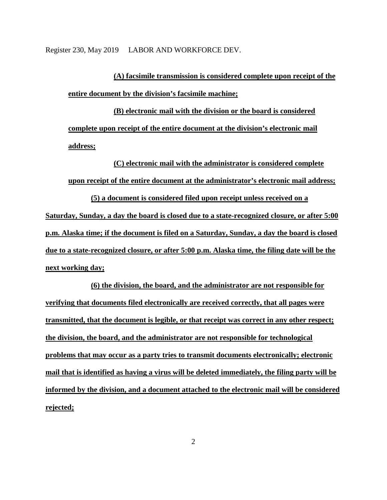**(A) facsimile transmission is considered complete upon receipt of the entire document by the division's facsimile machine;**

**(B) electronic mail with the division or the board is considered complete upon receipt of the entire document at the division's electronic mail address;**

**(C) electronic mail with the administrator is considered complete upon receipt of the entire document at the administrator's electronic mail address;**

**(5) a document is considered filed upon receipt unless received on a Saturday, Sunday, a day the board is closed due to a state-recognized closure, or after 5:00 p.m. Alaska time; if the document is filed on a Saturday, Sunday, a day the board is closed due to a state-recognized closure, or after 5:00 p.m. Alaska time, the filing date will be the next working day;**

**(6) the division, the board, and the administrator are not responsible for verifying that documents filed electronically are received correctly, that all pages were transmitted, that the document is legible, or that receipt was correct in any other respect; the division, the board, and the administrator are not responsible for technological problems that may occur as a party tries to transmit documents electronically; electronic mail that is identified as having a virus will be deleted immediately, the filing party will be informed by the division, and a document attached to the electronic mail will be considered rejected;**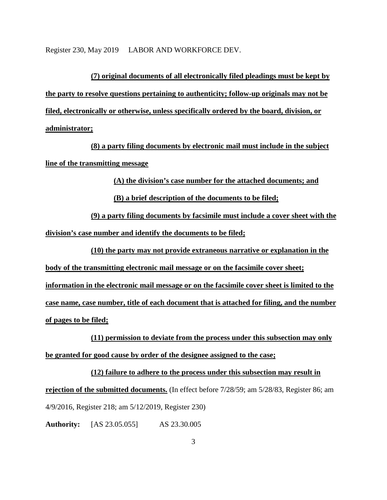**(7) original documents of all electronically filed pleadings must be kept by the party to resolve questions pertaining to authenticity; follow-up originals may not be filed, electronically or otherwise, unless specifically ordered by the board, division, or administrator;**

**(8) a party filing documents by electronic mail must include in the subject line of the transmitting message**

**(A) the division's case number for the attached documents; and**

**(B) a brief description of the documents to be filed;**

**(9) a party filing documents by facsimile must include a cover sheet with the division's case number and identify the documents to be filed;**

**(10) the party may not provide extraneous narrative or explanation in the body of the transmitting electronic mail message or on the facsimile cover sheet; information in the electronic mail message or on the facsimile cover sheet is limited to the case name, case number, title of each document that is attached for filing, and the number of pages to be filed;**

**(11) permission to deviate from the process under this subsection may only be granted for good cause by order of the designee assigned to the case;**

**(12) failure to adhere to the process under this subsection may result in rejection of the submitted documents.** (In effect before 7/28/59; am 5/28/83, Register 86; am 4/9/2016, Register 218; am 5/12/2019, Register 230)

**Authority:** [AS 23.05.055] AS 23.30.005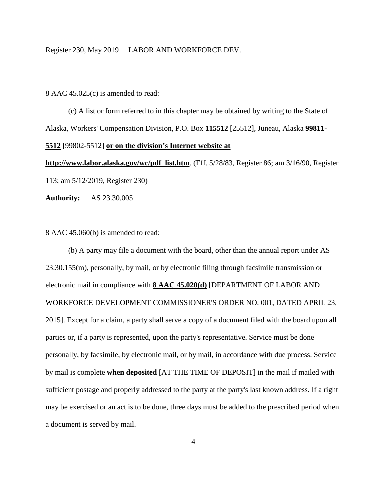8 AAC 45.025(c) is amended to read:

(c) A list or form referred to in this chapter may be obtained by writing to the State of Alaska, Workers' Compensation Division, P.O. Box **115512** [25512], Juneau, Alaska **99811- 5512** [99802-5512] **or on the division's Internet website at** 

**http://www.labor.alaska.gov/wc/pdf\_list.htm**. (Eff. 5/28/83, Register 86; am 3/16/90, Register 113; am 5/12/2019, Register 230)

**Authority:** AS 23.30.005

8 AAC 45.060(b) is amended to read:

(b) A party may file a document with the board, other than the annual report under AS 23.30.155(m), personally, by mail, or by electronic filing through facsimile transmission or electronic mail in compliance with **8 AAC 45.020(d)** [DEPARTMENT OF LABOR AND WORKFORCE DEVELOPMENT COMMISSIONER'S ORDER NO. 001, DATED APRIL 23, 2015]. Except for a claim, a party shall serve a copy of a document filed with the board upon all parties or, if a party is represented, upon the party's representative. Service must be done personally, by facsimile, by electronic mail, or by mail, in accordance with due process. Service by mail is complete **when deposited** [AT THE TIME OF DEPOSIT] in the mail if mailed with sufficient postage and properly addressed to the party at the party's last known address. If a right may be exercised or an act is to be done, three days must be added to the prescribed period when a document is served by mail.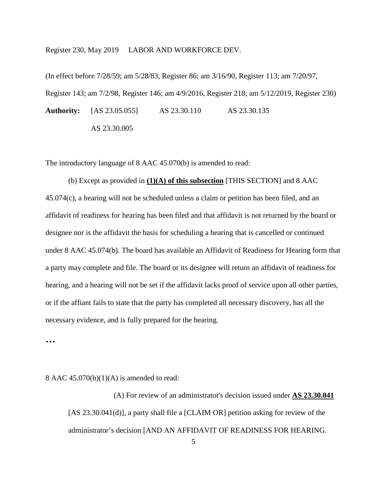(In effect before 7/28/59; am 5/28/83, Register 86; am 3/16/90, Register 113; am 7/20/97, Register 143; am 7/2/98, Register 146; am 4/9/2016, Register 218; am 5/12/2019, Register 230) **Authority:** [AS 23.05.055] AS 23.30.110 AS 23.30.135

AS 23.30.005

The introductory language of 8 AAC 45.070(b) is amended to read:

(b) Except as provided in **(1)(A) of this subsection** [THIS SECTION] and 8 AAC 45.074(c), a hearing will not be scheduled unless a claim or petition has been filed, and an affidavit of readiness for hearing has been filed and that affidavit is not returned by the board or designee nor is the affidavit the basis for scheduling a hearing that is cancelled or continued under 8 AAC 45.074(b). The board has available an Affidavit of Readiness for Hearing form that a party may complete and file. The board or its designee will return an affidavit of readiness for hearing, and a hearing will not be set if the affidavit lacks proof of service upon all other parties, or if the affiant fails to state that the party has completed all necessary discovery, has all the necessary evidence, and is fully prepared for the hearing.

**…** 

8 AAC  $45.070(b)(1)(A)$  is amended to read:

(A) For review of an administrator's decision issued under **AS 23.30.041** [AS 23.30.041(d)], a party shall file a [CLAIM OR] petition asking for review of the administrator's decision [AND AN AFFIDAVIT OF READINESS FOR HEARING.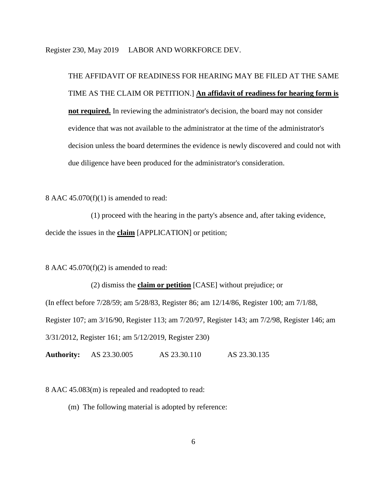THE AFFIDAVIT OF READINESS FOR HEARING MAY BE FILED AT THE SAME TIME AS THE CLAIM OR PETITION.] **An affidavit of readiness for hearing form is not required.** In reviewing the administrator's decision, the board may not consider evidence that was not available to the administrator at the time of the administrator's decision unless the board determines the evidence is newly discovered and could not with due diligence have been produced for the administrator's consideration.

8 AAC 45.070(f)(1) is amended to read:

(1) proceed with the hearing in the party's absence and, after taking evidence, decide the issues in the **claim** [APPLICATION] or petition;

8 AAC  $45.070(f)(2)$  is amended to read:

(2) dismiss the **claim or petition** [CASE] without prejudice; or (In effect before 7/28/59; am 5/28/83, Register 86; am 12/14/86, Register 100; am 7/1/88, Register 107; am 3/16/90, Register 113; am 7/20/97, Register 143; am 7/2/98, Register 146; am 3/31/2012, Register 161; am 5/12/2019, Register 230)

**Authority:** AS 23.30.005 AS 23.30.110 AS 23.30.135

8 AAC 45.083(m) is repealed and readopted to read:

(m) The following material is adopted by reference: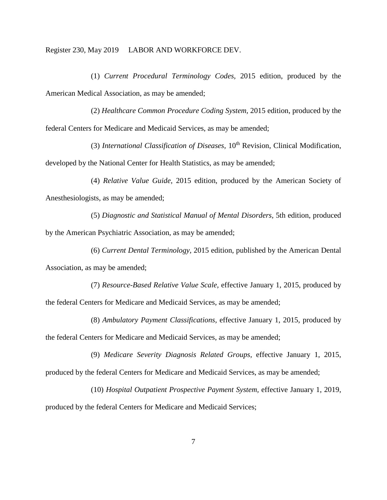(1) *Current Procedural Terminology Codes,* 2015 edition, produced by the American Medical Association, as may be amended;

(2) *Healthcare Common Procedure Coding System,* 2015 edition, produced by the federal Centers for Medicare and Medicaid Services, as may be amended;

(3) *International Classification of Diseases,* 10th Revision, Clinical Modification, developed by the National Center for Health Statistics, as may be amended;

(4) *Relative Value Guide,* 2015 edition, produced by the American Society of Anesthesiologists, as may be amended;

(5) *Diagnostic and Statistical Manual of Mental Disorders,* 5th edition, produced by the American Psychiatric Association, as may be amended;

(6) *Current Dental Terminology,* 2015 edition, published by the American Dental Association, as may be amended;

(7) *Resource-Based Relative Value Scale,* effective January 1, 2015, produced by the federal Centers for Medicare and Medicaid Services, as may be amended;

(8) *Ambulatory Payment Classifications,* effective January 1, 2015, produced by the federal Centers for Medicare and Medicaid Services, as may be amended;

(9) *Medicare Severity Diagnosis Related Groups,* effective January 1, 2015, produced by the federal Centers for Medicare and Medicaid Services, as may be amended;

(10) *Hospital Outpatient Prospective Payment System,* effective January 1, 2019, produced by the federal Centers for Medicare and Medicaid Services;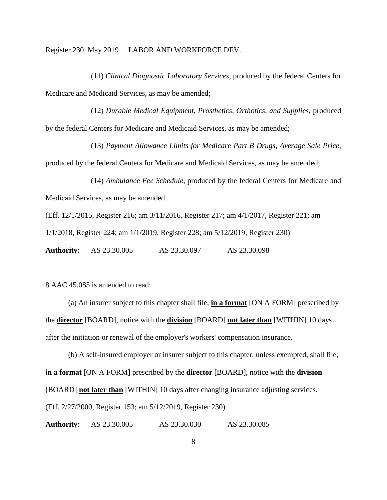(11) *Clinical Diagnostic Laboratory Services*, produced by the federal Centers for Medicare and Medicaid Services, as may be amended;

(12) *Durable Medical Equipment, Prosthetics, Orthotics, and Supplies*, produced by the federal Centers for Medicare and Medicaid Services, as may be amended;

(13) *Payment Allowance Limits for Medicare Part B Drugs, Average Sale Price*, produced by the federal Centers for Medicare and Medicaid Services, as may be amended;

(14) *Ambulance Fee Schedule*, produced by the federal Centers for Medicare and Medicaid Services, as may be amended.

(Eff. 12/1/2015, Register 216; am 3/11/2016, Register 217; am 4/1/2017, Register 221; am

1/1/2018, Register 224; am 1/1/2019, Register 228; am 5/12/2019, Register 230)

**Authority:** AS 23.30.005 AS 23.30.097 AS 23.30.098

8 AAC 45.085 is amended to read:

(a) An insurer subject to this chapter shall file, **in a format** [ON A FORM] prescribed by the **director** [BOARD], notice with the **division** [BOARD] **not later than** [WITHIN] 10 days after the initiation or renewal of the employer's workers' compensation insurance.

(b) A self-insured employer or insurer subject to this chapter, unless exempted, shall file, **in a format** [ON A FORM] prescribed by the **director** [BOARD], notice with the **division** [BOARD] **not later than** [WITHIN] 10 days after changing insurance adjusting services. (Eff. 2/27/2000, Register 153; am 5/12/2019, Register 230)

**Authority:** AS 23.30.005 AS 23.30.030 AS 23.30.085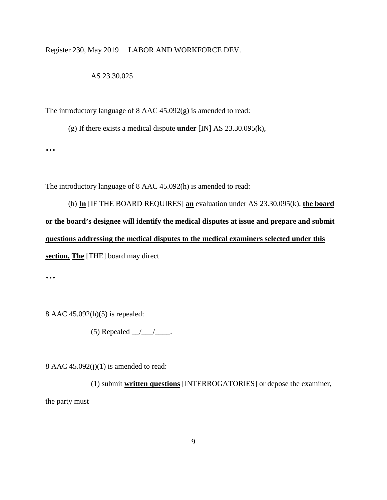## AS 23.30.025

The introductory language of 8 AAC 45.092(g) is amended to read:

(g) If there exists a medical dispute **under** [IN] AS 23.30.095(k),

**…**

The introductory language of 8 AAC 45.092(h) is amended to read:

(h) **In** [IF THE BOARD REQUIRES] **an** evaluation under AS 23.30.095(k), **the board or the board's designee will identify the medical disputes at issue and prepare and submit questions addressing the medical disputes to the medical examiners selected under this section. The** [THE] board may direct

**…**

8 AAC 45.092(h)(5) is repealed:

(5) Repealed  $\_\_\_\_\_\_\$ .

8 AAC  $45.092(j)(1)$  is amended to read:

(1) submit **written questions** [INTERROGATORIES] or depose the examiner, the party must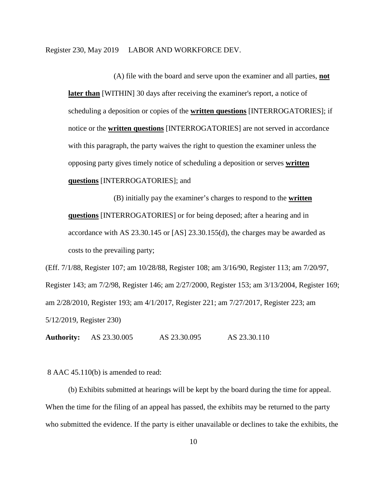(A) file with the board and serve upon the examiner and all parties, **not later than** [WITHIN] 30 days after receiving the examiner's report, a notice of scheduling a deposition or copies of the **written questions** [INTERROGATORIES]; if notice or the **written questions** [INTERROGATORIES] are not served in accordance with this paragraph, the party waives the right to question the examiner unless the opposing party gives timely notice of scheduling a deposition or serves **written questions** [INTERROGATORIES]; and

(B) initially pay the examiner's charges to respond to the **written questions** [INTERROGATORIES] or for being deposed; after a hearing and in accordance with AS 23.30.145 or [AS] 23.30.155(d), the charges may be awarded as costs to the prevailing party;

(Eff. 7/1/88, Register 107; am 10/28/88, Register 108; am 3/16/90, Register 113; am 7/20/97, Register 143; am 7/2/98, Register 146; am 2/27/2000, Register 153; am 3/13/2004, Register 169; am 2/28/2010, Register 193; am 4/1/2017, Register 221; am 7/27/2017, Register 223; am 5/12/2019, Register 230)

**Authority:** AS 23.30.005 AS 23.30.095 AS 23.30.110

8 AAC 45.110(b) is amended to read:

(b) Exhibits submitted at hearings will be kept by the board during the time for appeal. When the time for the filing of an appeal has passed, the exhibits may be returned to the party who submitted the evidence. If the party is either unavailable or declines to take the exhibits, the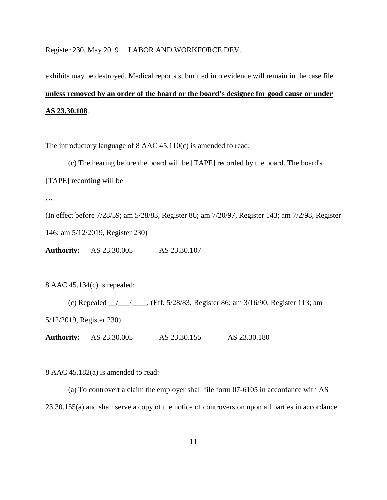# exhibits may be destroyed. Medical reports submitted into evidence will remain in the case file **unless removed by an order of the board or the board's designee for good cause or under AS 23.30.108**.

The introductory language of 8 AAC 45.110(c) is amended to read:

(c) The hearing before the board will be [TAPE] recorded by the board. The board's

[TAPE] recording will be

**…**

(In effect before 7/28/59; am 5/28/83, Register 86; am 7/20/97, Register 143; am 7/2/98, Register 146; am 5/12/2019, Register 230)

**Authority:** AS 23.30.005 AS 23.30.107

8 AAC 45.134(c) is repealed:

(c) Repealed \_\_/\_\_\_/\_\_\_\_. (Eff. 5/28/83, Register 86; am 3/16/90, Register 113; am 5/12/2019, Register 230) **Authority:** AS 23.30.005 AS 23.30.155 AS 23.30.180

8 AAC 45.182(a) is amended to read:

(a) To controvert a claim the employer shall file form 07-6105 in accordance with AS 23.30.155(a) and shall serve a copy of the notice of controversion upon all parties in accordance